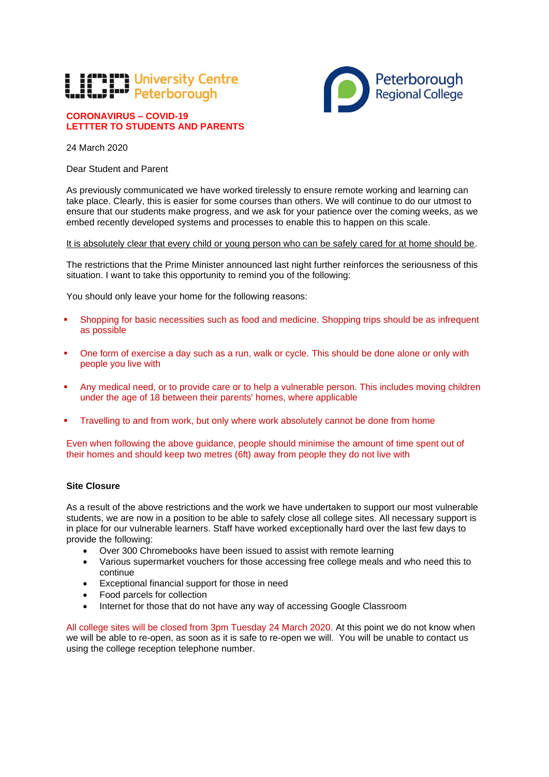## **Times University Centre**<br> **TWO Peterborough**

## **CORONAVIRUS – COVID-19 LETTTER TO STUDENTS AND PARENTS**

24 March 2020

Dear Student and Parent

As previously communicated we have worked tirelessly to ensure remote working and learning can take place. Clearly, this is easier for some courses than others. We will continue to do our utmost to ensure that our students make progress, and we ask for your patience over the coming weeks, as we embed recently developed systems and processes to enable this to happen on this scale.

It is absolutely clear that every child or young person who can be safely cared for at home should be.

The restrictions that the Prime Minister announced last night further reinforces the seriousness of this situation. I want to take this opportunity to remind you of the following:

You should only leave your home for the following reasons:

- Shopping for basic necessities such as food and medicine. Shopping trips should be as infrequent as possible
- One form of exercise a day such as a run, walk or cycle. This should be done alone or only with people you live with
- Any medical need, or to provide care or to help a vulnerable person. This includes moving children under the age of 18 between their parents' homes, where applicable
- **Travelling to and from work, but only where work absolutely cannot be done from home**

Even when following the above guidance, people should minimise the amount of time spent out of their homes and should keep two metres (6ft) away from people they do not live with

## **Site Closure**

As a result of the above restrictions and the work we have undertaken to support our most vulnerable students, we are now in a position to be able to safely close all college sites. All necessary support is in place for our vulnerable learners. Staff have worked exceptionally hard over the last few days to provide the following:

- Over 300 Chromebooks have been issued to assist with remote learning
- Various supermarket vouchers for those accessing free college meals and who need this to continue
- Exceptional financial support for those in need
- Food parcels for collection
- Internet for those that do not have any way of accessing Google Classroom

All college sites will be closed from 3pm Tuesday 24 March 2020. At this point we do not know when we will be able to re-open, as soon as it is safe to re-open we will. You will be unable to contact us using the college reception telephone number.